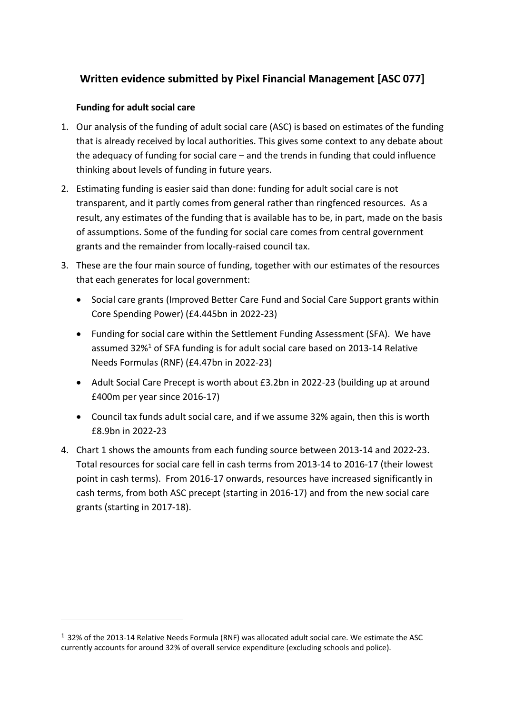# **Written evidence submitted by Pixel Financial Management [ASC 077]**

### **Funding for adult social care**

- 1. Our analysis of the funding of adult social care (ASC) is based on estimates of the funding that is already received by local authorities. This gives some context to any debate about the adequacy of funding for social care – and the trends in funding that could influence thinking about levels of funding in future years.
- 2. Estimating funding is easier said than done: funding for adult social care is not transparent, and it partly comes from general rather than ringfenced resources. As a result, any estimates of the funding that is available has to be, in part, made on the basis of assumptions. Some of the funding for social care comes from central government grants and the remainder from locally-raised council tax.
- 3. These are the four main source of funding, together with our estimates of the resources that each generates for local government:
	- Social care grants (Improved Better Care Fund and Social Care Support grants within Core Spending Power) (£4.445bn in 2022-23)
	- Funding for social care within the Settlement Funding Assessment (SFA). We have assumed 32%<sup>1</sup> of SFA funding is for adult social care based on 2013-14 Relative Needs Formulas (RNF) (£4.47bn in 2022-23)
	- Adult Social Care Precept is worth about £3.2bn in 2022-23 (building up at around £400m per year since 2016-17)
	- Council tax funds adult social care, and if we assume 32% again, then this is worth £8.9bn in 2022-23
- 4. Chart 1 shows the amounts from each funding source between 2013-14 and 2022-23. Total resources for social care fell in cash terms from 2013-14 to 2016-17 (their lowest point in cash terms). From 2016-17 onwards, resources have increased significantly in cash terms, from both ASC precept (starting in 2016-17) and from the new social care grants (starting in 2017-18).

<sup>1</sup> 32% of the 2013-14 Relative Needs Formula (RNF) was allocated adult social care. We estimate the ASC currently accounts for around 32% of overall service expenditure (excluding schools and police).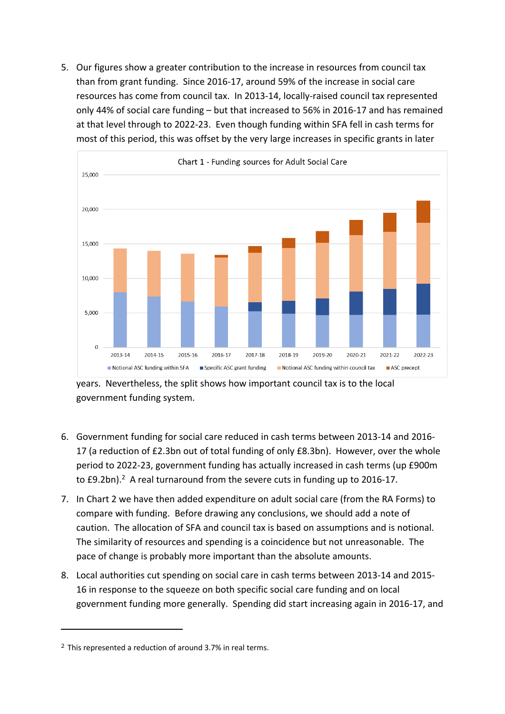5. Our figures show a greater contribution to the increase in resources from council tax than from grant funding. Since 2016-17, around 59% of the increase in social care resources has come from council tax. In 2013-14, locally-raised council tax represented only 44% of social care funding – but that increased to 56% in 2016-17 and has remained at that level through to 2022-23. Even though funding within SFA fell in cash terms for most of this period, this was offset by the very large increases in specific grants in later



years. Nevertheless, the split shows how important council tax is to the local government funding system.

- 6. Government funding for social care reduced in cash terms between 2013-14 and 2016- 17 (a reduction of £2.3bn out of total funding of only £8.3bn). However, over the whole period to 2022-23, government funding has actually increased in cash terms (up £900m to  $£9.2$ bn).<sup>2</sup> A real turnaround from the severe cuts in funding up to  $2016-17$ .
- 7. In Chart 2 we have then added expenditure on adult social care (from the RA Forms) to compare with funding. Before drawing any conclusions, we should add a note of caution. The allocation of SFA and council tax is based on assumptions and is notional. The similarity of resources and spending is a coincidence but not unreasonable. The pace of change is probably more important than the absolute amounts.
- 8. Local authorities cut spending on social care in cash terms between 2013-14 and 2015- 16 in response to the squeeze on both specific social care funding and on local government funding more generally. Spending did start increasing again in 2016-17, and

<sup>2</sup> This represented a reduction of around 3.7% in real terms.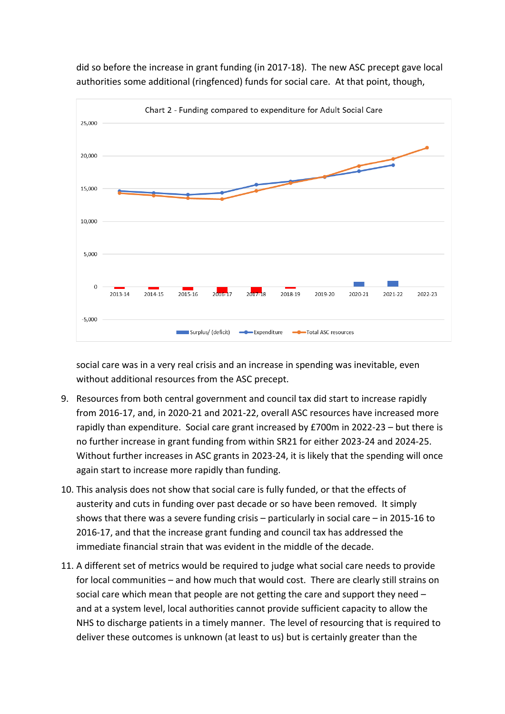

did so before the increase in grant funding (in 2017-18). The new ASC precept gave local authorities some additional (ringfenced) funds for social care. At that point, though,

social care was in a very real crisis and an increase in spending was inevitable, even without additional resources from the ASC precept.

- 9. Resources from both central government and council tax did start to increase rapidly from 2016-17, and, in 2020-21 and 2021-22, overall ASC resources have increased more rapidly than expenditure. Social care grant increased by £700m in 2022-23 – but there is no further increase in grant funding from within SR21 for either 2023-24 and 2024-25. Without further increases in ASC grants in 2023-24, it is likely that the spending will once again start to increase more rapidly than funding.
- 10. This analysis does not show that social care is fully funded, or that the effects of austerity and cuts in funding over past decade or so have been removed. It simply shows that there was a severe funding crisis – particularly in social care – in 2015-16 to 2016-17, and that the increase grant funding and council tax has addressed the immediate financial strain that was evident in the middle of the decade.
- 11. A different set of metrics would be required to judge what social care needs to provide for local communities – and how much that would cost. There are clearly still strains on social care which mean that people are not getting the care and support they need – and at a system level, local authorities cannot provide sufficient capacity to allow the NHS to discharge patients in a timely manner. The level of resourcing that is required to deliver these outcomes is unknown (at least to us) but is certainly greater than the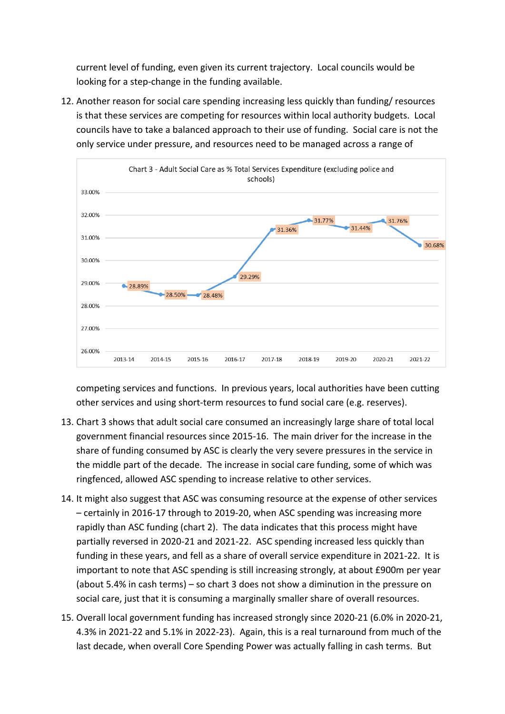current level of funding, even given its current trajectory. Local councils would be looking for a step-change in the funding available.

12. Another reason for social care spending increasing less quickly than funding/ resources is that these services are competing for resources within local authority budgets. Local councils have to take a balanced approach to their use of funding. Social care is not the only service under pressure, and resources need to be managed across a range of



competing services and functions. In previous years, local authorities have been cutting other services and using short-term resources to fund social care (e.g. reserves).

- 13. Chart 3 shows that adult social care consumed an increasingly large share of total local government financial resources since 2015-16. The main driver for the increase in the share of funding consumed by ASC is clearly the very severe pressures in the service in the middle part of the decade. The increase in social care funding, some of which was ringfenced, allowed ASC spending to increase relative to other services.
- 14. It might also suggest that ASC was consuming resource at the expense of other services – certainly in 2016-17 through to 2019-20, when ASC spending was increasing more rapidly than ASC funding (chart 2). The data indicates that this process might have partially reversed in 2020-21 and 2021-22. ASC spending increased less quickly than funding in these years, and fell as a share of overall service expenditure in 2021-22. It is important to note that ASC spending is still increasing strongly, at about £900m per year (about 5.4% in cash terms) – so chart 3 does not show a diminution in the pressure on social care, just that it is consuming a marginally smaller share of overall resources.
- 15. Overall local government funding has increased strongly since 2020-21 (6.0% in 2020-21, 4.3% in 2021-22 and 5.1% in 2022-23). Again, this is a real turnaround from much of the last decade, when overall Core Spending Power was actually falling in cash terms. But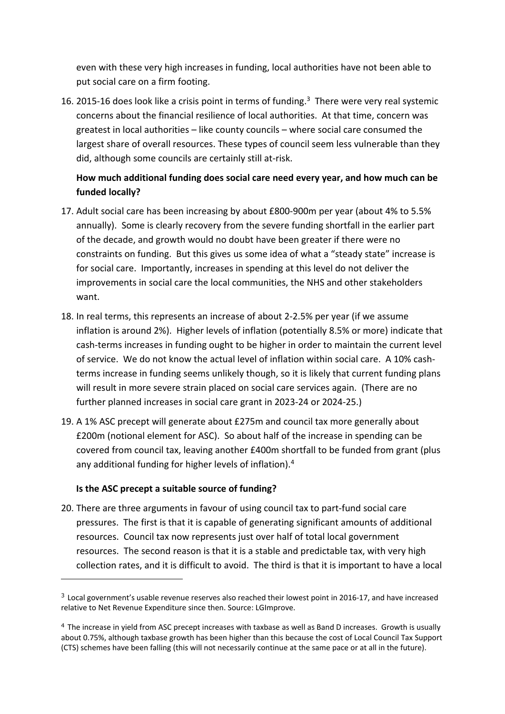even with these very high increases in funding, local authorities have not been able to put social care on a firm footing.

16. 2015-16 does look like a crisis point in terms of funding.<sup>3</sup> There were very real systemic concerns about the financial resilience of local authorities. At that time, concern was greatest in local authorities – like county councils – where social care consumed the largest share of overall resources. These types of council seem less vulnerable than they did, although some councils are certainly still at-risk.

### **How much additional funding does social care need every year, and how much can be funded locally?**

- 17. Adult social care has been increasing by about £800-900m per year (about 4% to 5.5% annually). Some is clearly recovery from the severe funding shortfall in the earlier part of the decade, and growth would no doubt have been greater if there were no constraints on funding. But this gives us some idea of what a "steady state" increase is for social care. Importantly, increases in spending at this level do not deliver the improvements in social care the local communities, the NHS and other stakeholders want.
- 18. In real terms, this represents an increase of about 2-2.5% per year (if we assume inflation is around 2%). Higher levels of inflation (potentially 8.5% or more) indicate that cash-terms increases in funding ought to be higher in order to maintain the current level of service. We do not know the actual level of inflation within social care. A 10% cashterms increase in funding seems unlikely though, so it is likely that current funding plans will result in more severe strain placed on social care services again. (There are no further planned increases in social care grant in 2023-24 or 2024-25.)
- 19. A 1% ASC precept will generate about £275m and council tax more generally about £200m (notional element for ASC). So about half of the increase in spending can be covered from council tax, leaving another £400m shortfall to be funded from grant (plus any additional funding for higher levels of inflation).<sup>4</sup>

### **Is the ASC precept a suitable source of funding?**

20. There are three arguments in favour of using council tax to part-fund social care pressures. The first is that it is capable of generating significant amounts of additional resources. Council tax now represents just over half of total local government resources. The second reason is that it is a stable and predictable tax, with very high collection rates, and it is difficult to avoid. The third is that it is important to have a local

 $3$  Local government's usable revenue reserves also reached their lowest point in 2016-17, and have increased relative to Net Revenue Expenditure since then. Source: LGImprove.

<sup>4</sup> The increase in yield from ASC precept increases with taxbase as well as Band D increases. Growth is usually about 0.75%, although taxbase growth has been higher than this because the cost of Local Council Tax Support (CTS) schemes have been falling (this will not necessarily continue at the same pace or at all in the future).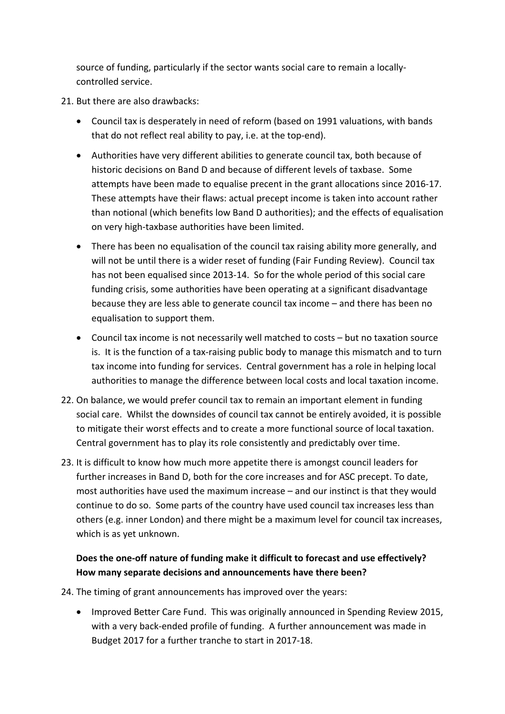source of funding, particularly if the sector wants social care to remain a locallycontrolled service.

- 21. But there are also drawbacks:
	- Council tax is desperately in need of reform (based on 1991 valuations, with bands that do not reflect real ability to pay, i.e. at the top-end).
	- Authorities have very different abilities to generate council tax, both because of historic decisions on Band D and because of different levels of taxbase. Some attempts have been made to equalise precent in the grant allocations since 2016-17. These attempts have their flaws: actual precept income is taken into account rather than notional (which benefits low Band D authorities); and the effects of equalisation on very high-taxbase authorities have been limited.
	- There has been no equalisation of the council tax raising ability more generally, and will not be until there is a wider reset of funding (Fair Funding Review). Council tax has not been equalised since 2013-14. So for the whole period of this social care funding crisis, some authorities have been operating at a significant disadvantage because they are less able to generate council tax income – and there has been no equalisation to support them.
	- Council tax income is not necessarily well matched to costs but no taxation source is. It is the function of a tax-raising public body to manage this mismatch and to turn tax income into funding for services. Central government has a role in helping local authorities to manage the difference between local costs and local taxation income.
- 22. On balance, we would prefer council tax to remain an important element in funding social care. Whilst the downsides of council tax cannot be entirely avoided, it is possible to mitigate their worst effects and to create a more functional source of local taxation. Central government has to play its role consistently and predictably over time.
- 23. It is difficult to know how much more appetite there is amongst council leaders for further increases in Band D, both for the core increases and for ASC precept. To date, most authorities have used the maximum increase – and our instinct is that they would continue to do so. Some parts of the country have used council tax increases less than others (e.g. inner London) and there might be a maximum level for council tax increases, which is as yet unknown.

## **Does the one-off nature of funding make it difficult to forecast and use effectively? How many separate decisions and announcements have there been?**

- 24. The timing of grant announcements has improved over the years:
	- Improved Better Care Fund. This was originally announced in Spending Review 2015, with a very back-ended profile of funding. A further announcement was made in Budget 2017 for a further tranche to start in 2017-18.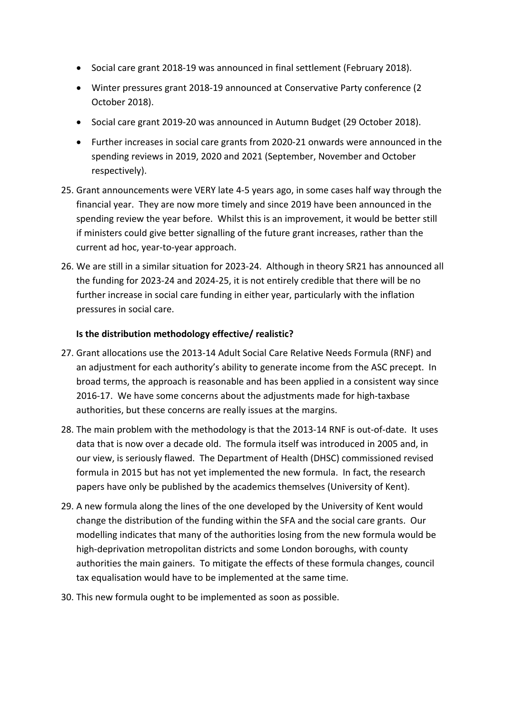- Social care grant 2018-19 was announced in final settlement (February 2018).
- Winter pressures grant 2018-19 announced at Conservative Party conference (2 October 2018).
- Social care grant 2019-20 was announced in Autumn Budget (29 October 2018).
- Further increases in social care grants from 2020-21 onwards were announced in the spending reviews in 2019, 2020 and 2021 (September, November and October respectively).
- 25. Grant announcements were VERY late 4-5 years ago, in some cases half way through the financial year. They are now more timely and since 2019 have been announced in the spending review the year before. Whilst this is an improvement, it would be better still if ministers could give better signalling of the future grant increases, rather than the current ad hoc, year-to-year approach.
- 26. We are still in a similar situation for 2023-24. Although in theory SR21 has announced all the funding for 2023-24 and 2024-25, it is not entirely credible that there will be no further increase in social care funding in either year, particularly with the inflation pressures in social care.

### **Is the distribution methodology effective/ realistic?**

- 27. Grant allocations use the 2013-14 Adult Social Care Relative Needs Formula (RNF) and an adjustment for each authority's ability to generate income from the ASC precept. In broad terms, the approach is reasonable and has been applied in a consistent way since 2016-17. We have some concerns about the adjustments made for high-taxbase authorities, but these concerns are really issues at the margins.
- 28. The main problem with the methodology is that the 2013-14 RNF is out-of-date. It uses data that is now over a decade old. The formula itself was introduced in 2005 and, in our view, is seriously flawed. The Department of Health (DHSC) commissioned revised formula in 2015 but has not yet implemented the new formula. In fact, the research papers have only be published by the academics themselves (University of Kent).
- 29. A new formula along the lines of the one developed by the University of Kent would change the distribution of the funding within the SFA and the social care grants. Our modelling indicates that many of the authorities losing from the new formula would be high-deprivation metropolitan districts and some London boroughs, with county authorities the main gainers. To mitigate the effects of these formula changes, council tax equalisation would have to be implemented at the same time.
- 30. This new formula ought to be implemented as soon as possible.